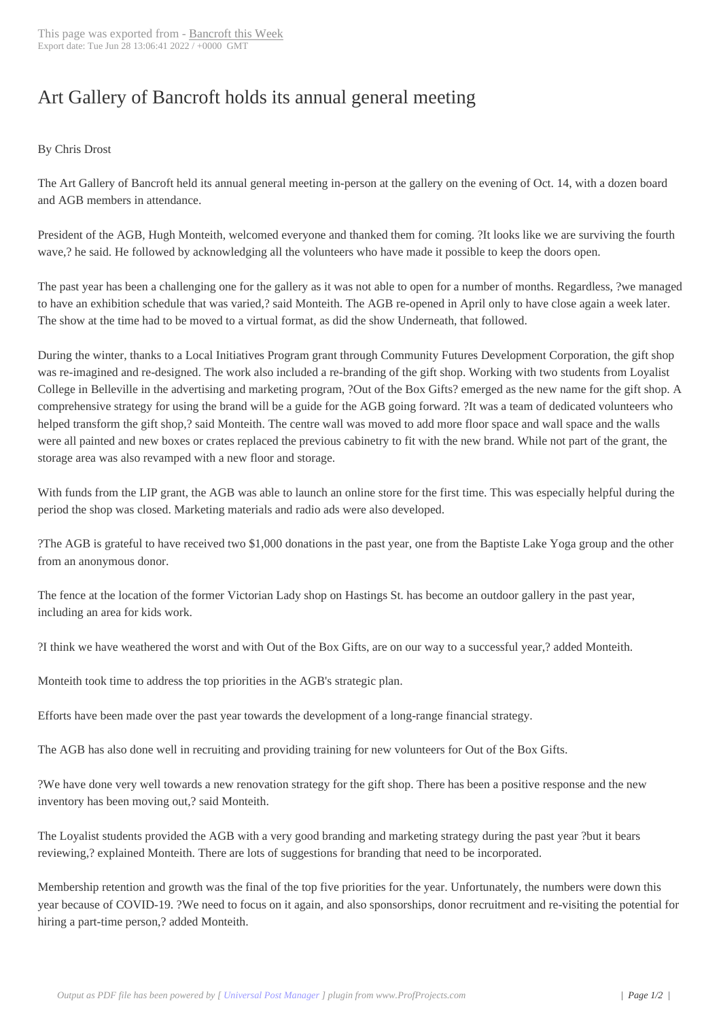## Art Gallery of Ban[croft holds its](http://www.bancroftthisweek.com/?p=11994) annual general meeting

## By Chris Drost

The Art Gallery of Bancroft held its annual general meeting in-person at the gallery on the evening of Oct. 14, with a dozen board and AGB members in attendance.

President of the AGB, Hugh Monteith, welcomed everyone and thanked them for coming. ?It looks like we are surviving the fourth wave,? he said. He followed by acknowledging all the volunteers who have made it possible to keep the doors open.

The past year has been a challenging one for the gallery as it was not able to open for a number of months. Regardless, ?we managed to have an exhibition schedule that was varied,? said Monteith. The AGB re-opened in April only to have close again a week later. The show at the time had to be moved to a virtual format, as did the show Underneath, that followed.

During the winter, thanks to a Local Initiatives Program grant through Community Futures Development Corporation, the gift shop was re-imagined and re-designed. The work also included a re-branding of the gift shop. Working with two students from Loyalist College in Belleville in the advertising and marketing program, ?Out of the Box Gifts? emerged as the new name for the gift shop. A comprehensive strategy for using the brand will be a guide for the AGB going forward. ?It was a team of dedicated volunteers who helped transform the gift shop,? said Monteith. The centre wall was moved to add more floor space and wall space and the walls were all painted and new boxes or crates replaced the previous cabinetry to fit with the new brand. While not part of the grant, the storage area was also revamped with a new floor and storage.

With funds from the LIP grant, the AGB was able to launch an online store for the first time. This was especially helpful during the period the shop was closed. Marketing materials and radio ads were also developed.

?The AGB is grateful to have received two \$1,000 donations in the past year, one from the Baptiste Lake Yoga group and the other from an anonymous donor.

The fence at the location of the former Victorian Lady shop on Hastings St. has become an outdoor gallery in the past year, including an area for kids work.

?I think we have weathered the worst and with Out of the Box Gifts, are on our way to a successful year,? added Monteith.

Monteith took time to address the top priorities in the AGB's strategic plan.

Efforts have been made over the past year towards the development of a long-range financial strategy.

The AGB has also done well in recruiting and providing training for new volunteers for Out of the Box Gifts.

?We have done very well towards a new renovation strategy for the gift shop. There has been a positive response and the new inventory has been moving out,? said Monteith.

The Loyalist students provided the AGB with a very good branding and marketing strategy during the past year ?but it bears reviewing,? explained Monteith. There are lots of suggestions for branding that need to be incorporated.

Membership retention and growth was the final of the top five priorities for the year. Unfortunately, the numbers were down this year because of COVID-19. ?We need to focus on it again, and also sponsorships, donor recruitment and re-visiting the potential for hiring a part-time person,? added Monteith.